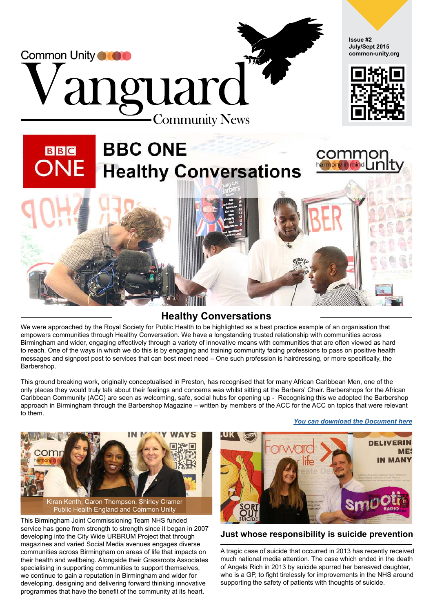

#### **Healthy Conversations**

We were approached by the Royal Society for Public Health to be highlighted as a best practice example of an organisation that empowers communities through Healthy Conversation. We have a longstanding trusted relationship with communities across Birmingham and wider, engaging effectively through a variety of innovative means with communities that are often viewed as hard [to reach. One of the ways in which we do this is by engaging and training community facing professions to pass on positive health](https://youtu.be/nkzGeYt1Xs4)  messages and signpost post to services that can best meet need – One such profession is hairdressing, or more specifically, the Barbershop.

This ground breaking work, originally conceptualised in Preston, has recognised that for many African Caribbean Men, one of the only places they would truly talk about their feelings and concerns was whilst sitting at the Barbers' Chair. Barbershops for the African Caribbean Community (ACC) are seen as welcoming, safe, social hubs for opening up - Recognising this we adopted the Barbershop approach in Birmingham through the Barbershop Magazine – written by members of the ACC for the ACC on topics that were relevant to them.



This Birmingham Joint Commissioning Team NHS funded service has gone from strength to strength since it began in 2007 developing into the City Wide URBRUM Project that through magazines and varied Social Media avenues engages diverse communities across Birmingham on areas of life that impacts on their health and wellbeing. Alongside their Grassroots Associates specialising in supporting communities to support themselves, we continue to gain a reputation in Birmingham and wider for developing, designing and delivering forward thinking innovative programmes that have the benefit of the community at its heart.

*[You can download the Document here](http://www.urbrum.org/wp-content/uploads/2015/08/final_for_website.pdf)*



#### **Just whose responsibility is suicide prevention**

A tragic case of suicide that occurred in 2013 has recently received much national media attention. The case which ended in the death of Angela Rich in 2013 by suicide spurred her bereaved daughter, who is a GP, to fight tirelessly for improvements in the NHS around supporting the safety of patients with thoughts of suicide.